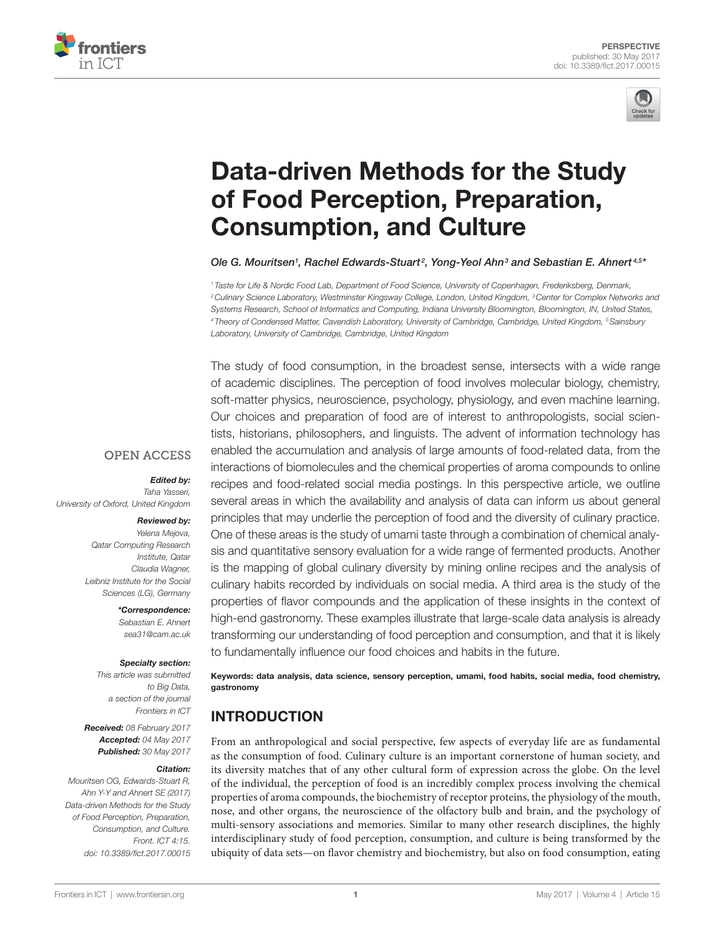



# [Data-driven Methods for the Study](http://www.frontiersin.org/Journal/10.3389/fict.2017.00015/abstract)  [of Food Perception, Preparation,](http://www.frontiersin.org/Journal/10.3389/fict.2017.00015/abstract)  [Consumption, and Culture](http://www.frontiersin.org/Journal/10.3389/fict.2017.00015/abstract)

*Ole G. Mouritsen1 , Rachel Edwards-Stuart <sup>2</sup> , Yong-Yeol Ahn3 and [Sebastian E. Ahnert](http://loop.frontiersin.org/people/21869) 4,5 \**

*<sup>1</sup> Taste for Life & Nordic Food Lab, Department of Food Science, University of Copenhagen, Frederiksberg, Denmark, 2Culinary Science Laboratory, Westminster Kingsway College, London, United Kingdom, 3Center for Complex Networks and Systems Research, School of Informatics and Computing, Indiana University Bloomington, Bloomington, IN, United States, <sup>4</sup> Theory of Condensed Matter, Cavendish Laboratory, University of Cambridge, Cambridge, United Kingdom, 5Sainsbury Laboratory, University of Cambridge, Cambridge, United Kingdom*

The study of food consumption, in the broadest sense, intersects with a wide range of academic disciplines. The perception of food involves molecular biology, chemistry, soft-matter physics, neuroscience, psychology, physiology, and even machine learning. Our choices and preparation of food are of interest to anthropologists, social scientists, historians, philosophers, and linguists. The advent of information technology has enabled the accumulation and analysis of large amounts of food-related data, from the interactions of biomolecules and the chemical properties of aroma compounds to online recipes and food-related social media postings. In this perspective article, we outline several areas in which the availability and analysis of data can inform us about general principles that may underlie the perception of food and the diversity of culinary practice. One of these areas is the study of umami taste through a combination of chemical analysis and quantitative sensory evaluation for a wide range of fermented products. Another is the mapping of global culinary diversity by mining online recipes and the analysis of culinary habits recorded by individuals on social media. A third area is the study of the properties of flavor compounds and the application of these insights in the context of high-end gastronomy. These examples illustrate that large-scale data analysis is already transforming our understanding of food perception and consumption, and that it is likely to fundamentally influence our food choices and habits in the future.

Keywords: data analysis, data science, sensory perception, umami, food habits, social media, food chemistry, gastronomy

# INTRODUCTION

From an anthropological and social perspective, few aspects of everyday life are as fundamental as the consumption of food. Culinary culture is an important cornerstone of human society, and its diversity matches that of any other cultural form of expression across the globe. On the level of the individual, the perception of food is an incredibly complex process involving the chemical properties of aroma compounds, the biochemistry of receptor proteins, the physiology of the mouth, nose, and other organs, the neuroscience of the olfactory bulb and brain, and the psychology of multi-sensory associations and memories. Similar to many other research disciplines, the highly interdisciplinary study of food perception, consumption, and culture is being transformed by the ubiquity of data sets—on flavor chemistry and biochemistry, but also on food consumption, eating

#### **OPEN ACCESS**

*Edited by:* 

*Taha Yasseri, University of Oxford, United Kingdom*

#### *Reviewed by:*

*Yelena Mejova, Qatar Computing Research Institute, Qatar Claudia Wagner, Leibniz Institute for the Social Sciences (LG), Germany*

> *\*Correspondence: Sebastian E. Ahnert [sea31@cam.ac.uk](mailto:sea31@cam.ac.uk)*

#### *Specialty section:*

*This article was submitted to Big Data, a section of the journal Frontiers in ICT*

*Received: 08 February 2017 Accepted: 04 May 2017 Published: 30 May 2017*

#### *Citation:*

*Mouritsen OG, Edwards-Stuart R, Ahn Y-Y and Ahnert SE (2017) Data-driven Methods for the Study of Food Perception, Preparation, Consumption, and Culture. Front. ICT 4:15. doi: [10.3389/fict.2017.00015](https://doi.org/10.3389/fict.2017.00015)*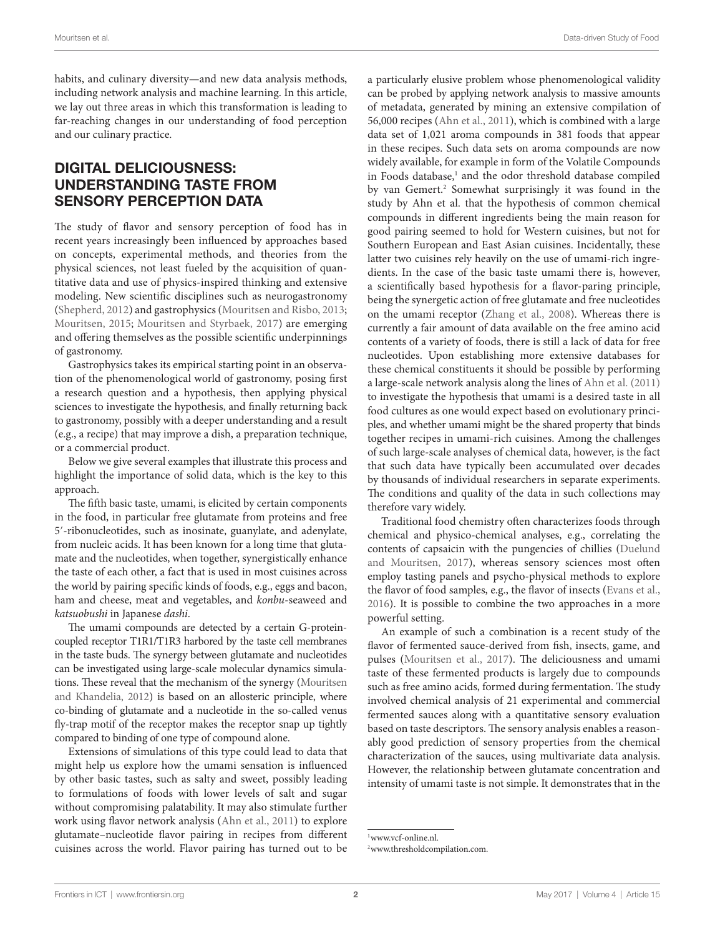habits, and culinary diversity—and new data analysis methods, including network analysis and machine learning. In this article, we lay out three areas in which this transformation is leading to far-reaching changes in our understanding of food perception and our culinary practice.

### DIGITAL DELICIOUSNESS: UNDERSTANDING TASTE FROM SENSORY PERCEPTION DATA

The study of flavor and sensory perception of food has in recent years increasingly been influenced by approaches based on concepts, experimental methods, and theories from the physical sciences, not least fueled by the acquisition of quantitative data and use of physics-inspired thinking and extensive modeling. New scientific disciplines such as neurogastronomy ([Shepherd, 2012](#page-4-0)) and gastrophysics ([Mouritsen and Risbo, 2013;](#page-4-1) [Mouritsen, 2015](#page-4-2); [Mouritsen and Styrbaek, 2017\)](#page-4-3) are emerging and offering themselves as the possible scientific underpinnings of gastronomy.

Gastrophysics takes its empirical starting point in an observation of the phenomenological world of gastronomy, posing first a research question and a hypothesis, then applying physical sciences to investigate the hypothesis, and finally returning back to gastronomy, possibly with a deeper understanding and a result (e.g., a recipe) that may improve a dish, a preparation technique, or a commercial product.

Below we give several examples that illustrate this process and highlight the importance of solid data, which is the key to this approach.

The fifth basic taste, umami, is elicited by certain components in the food, in particular free glutamate from proteins and free 5′-ribonucleotides, such as inosinate, guanylate, and adenylate, from nucleic acids. It has been known for a long time that glutamate and the nucleotides, when together, synergistically enhance the taste of each other, a fact that is used in most cuisines across the world by pairing specific kinds of foods, e.g., eggs and bacon, ham and cheese, meat and vegetables, and *konbu*-seaweed and *katsuobushi* in Japanese *dashi*.

The umami compounds are detected by a certain G-proteincoupled receptor T1R1/T1R3 harbored by the taste cell membranes in the taste buds. The synergy between glutamate and nucleotides can be investigated using large-scale molecular dynamics simulations. These reveal that the mechanism of the synergy [\(Mouritsen](#page-4-4) [and Khandelia, 2012](#page-4-4)) is based on an allosteric principle, where co-binding of glutamate and a nucleotide in the so-called venus fly-trap motif of the receptor makes the receptor snap up tightly compared to binding of one type of compound alone.

Extensions of simulations of this type could lead to data that might help us explore how the umami sensation is influenced by other basic tastes, such as salty and sweet, possibly leading to formulations of foods with lower levels of salt and sugar without compromising palatability. It may also stimulate further work using flavor network analysis [\(Ahn et al., 2011](#page-4-5)) to explore glutamate–nucleotide flavor pairing in recipes from different cuisines across the world. Flavor pairing has turned out to be a particularly elusive problem whose phenomenological validity can be probed by applying network analysis to massive amounts of metadata, generated by mining an extensive compilation of 56,000 recipes [\(Ahn et al., 2011\)](#page-4-5), which is combined with a large data set of 1,021 aroma compounds in 381 foods that appear in these recipes. Such data sets on aroma compounds are now widely available, for example in form of the Volatile Compounds in Foods database,<sup>[1](#page-1-0)</sup> and the odor threshold database compiled by van Gemert[.2](#page-1-1) Somewhat surprisingly it was found in the study by Ahn et al. that the hypothesis of common chemical compounds in different ingredients being the main reason for good pairing seemed to hold for Western cuisines, but not for Southern European and East Asian cuisines. Incidentally, these latter two cuisines rely heavily on the use of umami-rich ingredients. In the case of the basic taste umami there is, however, a scientifically based hypothesis for a flavor-paring principle, being the synergetic action of free glutamate and free nucleotides on the umami receptor [\(Zhang et al., 2008](#page-4-6)). Whereas there is currently a fair amount of data available on the free amino acid contents of a variety of foods, there is still a lack of data for free nucleotides. Upon establishing more extensive databases for these chemical constituents it should be possible by performing a large-scale network analysis along the lines of [Ahn et al. \(2011\)](#page-4-5) to investigate the hypothesis that umami is a desired taste in all food cultures as one would expect based on evolutionary principles, and whether umami might be the shared property that binds together recipes in umami-rich cuisines. Among the challenges of such large-scale analyses of chemical data, however, is the fact that such data have typically been accumulated over decades by thousands of individual researchers in separate experiments. The conditions and quality of the data in such collections may therefore vary widely.

Traditional food chemistry often characterizes foods through chemical and physico-chemical analyses, e.g., correlating the contents of capsaicin with the pungencies of chillies [\(Duelund](#page-4-7)  [and Mouritsen, 2017](#page-4-7)), whereas sensory sciences most often employ tasting panels and psycho-physical methods to explore the flavor of food samples, e.g., the flavor of insects [\(Evans et al.,](#page-4-8)  [2016](#page-4-8)). It is possible to combine the two approaches in a more powerful setting.

An example of such a combination is a recent study of the flavor of fermented sauce-derived from fish, insects, game, and pulses ([Mouritsen et al., 2017\)](#page-4-9). The deliciousness and umami taste of these fermented products is largely due to compounds such as free amino acids, formed during fermentation. The study involved chemical analysis of 21 experimental and commercial fermented sauces along with a quantitative sensory evaluation based on taste descriptors. The sensory analysis enables a reasonably good prediction of sensory properties from the chemical characterization of the sauces, using multivariate data analysis. However, the relationship between glutamate concentration and intensity of umami taste is not simple. It demonstrates that in the

<span id="page-1-0"></span><sup>1</sup>[www.vcf-online.nl.](http://www.vcf-online.nl)

<span id="page-1-1"></span><sup>2</sup>[www.thresholdcompilation.com.](http://www.thresholdcompilation.com)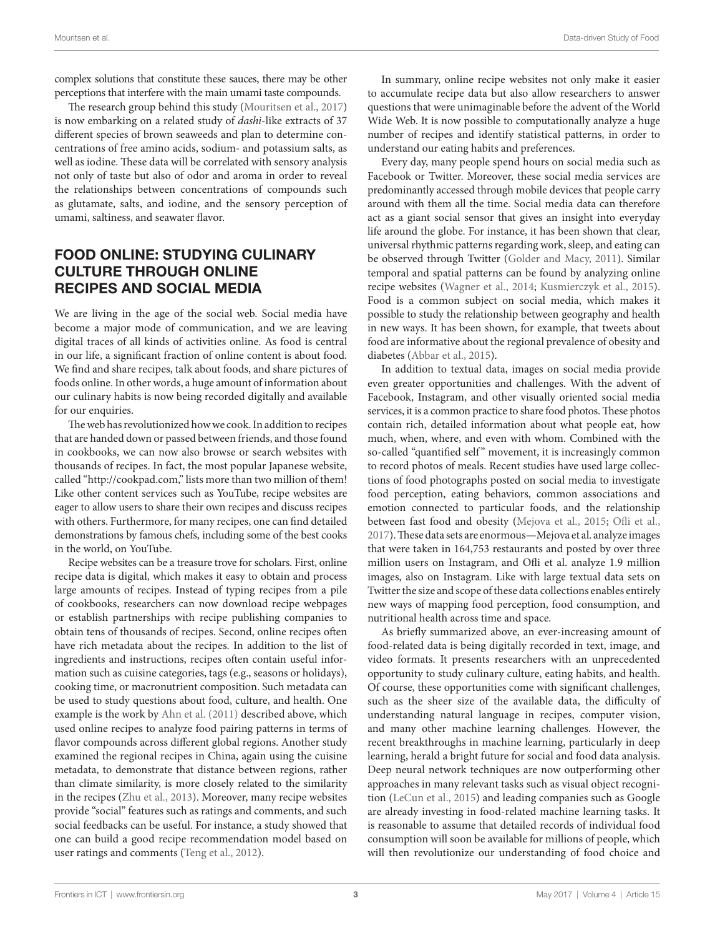complex solutions that constitute these sauces, there may be other perceptions that interfere with the main umami taste compounds.

The research group behind this study [\(Mouritsen et al., 2017\)](#page-4-9) is now embarking on a related study of *dashi*-like extracts of 37 different species of brown seaweeds and plan to determine concentrations of free amino acids, sodium- and potassium salts, as well as iodine. These data will be correlated with sensory analysis not only of taste but also of odor and aroma in order to reveal the relationships between concentrations of compounds such as glutamate, salts, and iodine, and the sensory perception of umami, saltiness, and seawater flavor.

#### FOOD ONLINE: STUDYING CULINARY CULTURE THROUGH ONLINE RECIPES AND SOCIAL MEDIA

We are living in the age of the social web. Social media have become a major mode of communication, and we are leaving digital traces of all kinds of activities online. As food is central in our life, a significant fraction of online content is about food. We find and share recipes, talk about foods, and share pictures of foods online. In other words, a huge amount of information about our culinary habits is now being recorded digitally and available for our enquiries.

The web has revolutionized how we cook. In addition to recipes that are handed down or passed between friends, and those found in cookbooks, we can now also browse or search websites with thousands of recipes. In fact, the most popular Japanese website, called ["http://cookpad.com](http://cookpad.com)," lists more than two million of them! Like other content services such as YouTube, recipe websites are eager to allow users to share their own recipes and discuss recipes with others. Furthermore, for many recipes, one can find detailed demonstrations by famous chefs, including some of the best cooks in the world, on YouTube.

Recipe websites can be a treasure trove for scholars. First, online recipe data is digital, which makes it easy to obtain and process large amounts of recipes. Instead of typing recipes from a pile of cookbooks, researchers can now download recipe webpages or establish partnerships with recipe publishing companies to obtain tens of thousands of recipes. Second, online recipes often have rich metadata about the recipes. In addition to the list of ingredients and instructions, recipes often contain useful information such as cuisine categories, tags (e.g., seasons or holidays), cooking time, or macronutrient composition. Such metadata can be used to study questions about food, culture, and health. One example is the work by [Ahn et al. \(2011\)](#page-4-5) described above, which used online recipes to analyze food pairing patterns in terms of flavor compounds across different global regions. Another study examined the regional recipes in China, again using the cuisine metadata, to demonstrate that distance between regions, rather than climate similarity, is more closely related to the similarity in the recipes ([Zhu et al., 2013](#page-4-10)). Moreover, many recipe websites provide "social" features such as ratings and comments, and such social feedbacks can be useful. For instance, a study showed that one can build a good recipe recommendation model based on user ratings and comments [\(Teng et al., 2012\)](#page-4-11).

In summary, online recipe websites not only make it easier to accumulate recipe data but also allow researchers to answer questions that were unimaginable before the advent of the World Wide Web. It is now possible to computationally analyze a huge number of recipes and identify statistical patterns, in order to understand our eating habits and preferences.

Every day, many people spend hours on social media such as Facebook or Twitter. Moreover, these social media services are predominantly accessed through mobile devices that people carry around with them all the time. Social media data can therefore act as a giant social sensor that gives an insight into everyday life around the globe. For instance, it has been shown that clear, universal rhythmic patterns regarding work, sleep, and eating can be observed through Twitter [\(Golder and Macy, 2011\)](#page-4-12). Similar temporal and spatial patterns can be found by analyzing online recipe websites [\(Wagner et al., 2014;](#page-4-13) [Kusmierczyk et al., 2015](#page-4-14)). Food is a common subject on social media, which makes it possible to study the relationship between geography and health in new ways. It has been shown, for example, that tweets about food are informative about the regional prevalence of obesity and diabetes ([Abbar et al., 2015\)](#page-4-15).

In addition to textual data, images on social media provide even greater opportunities and challenges. With the advent of Facebook, Instagram, and other visually oriented social media services, it is a common practice to share food photos. These photos contain rich, detailed information about what people eat, how much, when, where, and even with whom. Combined with the so-called "quantified self" movement, it is increasingly common to record photos of meals. Recent studies have used large collections of food photographs posted on social media to investigate food perception, eating behaviors, common associations and emotion connected to particular foods, and the relationship between fast food and obesity [\(Mejova et al., 2015;](#page-4-16) [Ofli et al.,](#page-4-17)  [2017](#page-4-17)). These data sets are enormous—Mejova et al. analyze images that were taken in 164,753 restaurants and posted by over three million users on Instagram, and Ofli et al. analyze 1.9 million images, also on Instagram. Like with large textual data sets on Twitter the size and scope of these data collections enables entirely new ways of mapping food perception, food consumption, and nutritional health across time and space.

As briefly summarized above, an ever-increasing amount of food-related data is being digitally recorded in text, image, and video formats. It presents researchers with an unprecedented opportunity to study culinary culture, eating habits, and health. Of course, these opportunities come with significant challenges, such as the sheer size of the available data, the difficulty of understanding natural language in recipes, computer vision, and many other machine learning challenges. However, the recent breakthroughs in machine learning, particularly in deep learning, herald a bright future for social and food data analysis. Deep neural network techniques are now outperforming other approaches in many relevant tasks such as visual object recognition [\(LeCun et al., 2015](#page-4-18)) and leading companies such as Google are already investing in food-related machine learning tasks. It is reasonable to assume that detailed records of individual food consumption will soon be available for millions of people, which will then revolutionize our understanding of food choice and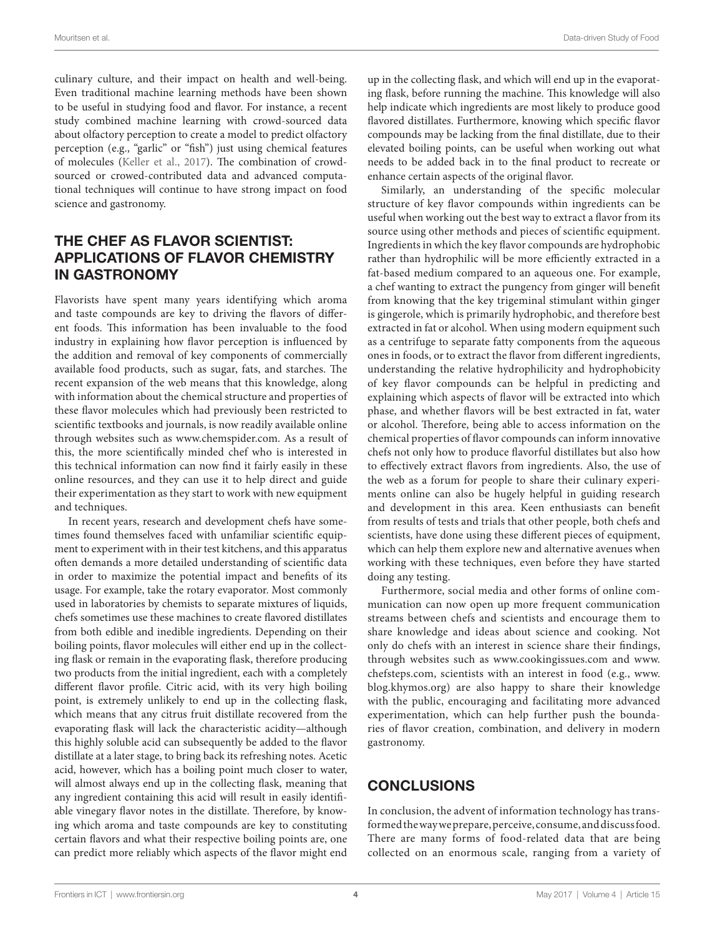culinary culture, and their impact on health and well-being. Even traditional machine learning methods have been shown to be useful in studying food and flavor. For instance, a recent study combined machine learning with crowd-sourced data about olfactory perception to create a model to predict olfactory perception (e.g., "garlic" or "fish") just using chemical features of molecules ([Keller et al., 2017\)](#page-4-19). The combination of crowdsourced or crowed-contributed data and advanced computational techniques will continue to have strong impact on food science and gastronomy.

### THE CHEF AS FLAVOR SCIENTIST: APPLICATIONS OF FLAVOR CHEMISTRY IN GASTRONOMY

Flavorists have spent many years identifying which aroma and taste compounds are key to driving the flavors of different foods. This information has been invaluable to the food industry in explaining how flavor perception is influenced by the addition and removal of key components of commercially available food products, such as sugar, fats, and starches. The recent expansion of the web means that this knowledge, along with information about the chemical structure and properties of these flavor molecules which had previously been restricted to scientific textbooks and journals, is now readily available online through websites such as [www.chemspider.com](http://www.chemspider.com). As a result of this, the more scientifically minded chef who is interested in this technical information can now find it fairly easily in these online resources, and they can use it to help direct and guide their experimentation as they start to work with new equipment and techniques.

In recent years, research and development chefs have sometimes found themselves faced with unfamiliar scientific equipment to experiment with in their test kitchens, and this apparatus often demands a more detailed understanding of scientific data in order to maximize the potential impact and benefits of its usage. For example, take the rotary evaporator. Most commonly used in laboratories by chemists to separate mixtures of liquids, chefs sometimes use these machines to create flavored distillates from both edible and inedible ingredients. Depending on their boiling points, flavor molecules will either end up in the collecting flask or remain in the evaporating flask, therefore producing two products from the initial ingredient, each with a completely different flavor profile. Citric acid, with its very high boiling point, is extremely unlikely to end up in the collecting flask, which means that any citrus fruit distillate recovered from the evaporating flask will lack the characteristic acidity—although this highly soluble acid can subsequently be added to the flavor distillate at a later stage, to bring back its refreshing notes. Acetic acid, however, which has a boiling point much closer to water, will almost always end up in the collecting flask, meaning that any ingredient containing this acid will result in easily identifiable vinegary flavor notes in the distillate. Therefore, by knowing which aroma and taste compounds are key to constituting certain flavors and what their respective boiling points are, one can predict more reliably which aspects of the flavor might end

up in the collecting flask, and which will end up in the evaporating flask, before running the machine. This knowledge will also help indicate which ingredients are most likely to produce good flavored distillates. Furthermore, knowing which specific flavor compounds may be lacking from the final distillate, due to their elevated boiling points, can be useful when working out what needs to be added back in to the final product to recreate or enhance certain aspects of the original flavor.

Similarly, an understanding of the specific molecular structure of key flavor compounds within ingredients can be useful when working out the best way to extract a flavor from its source using other methods and pieces of scientific equipment. Ingredients in which the key flavor compounds are hydrophobic rather than hydrophilic will be more efficiently extracted in a fat-based medium compared to an aqueous one. For example, a chef wanting to extract the pungency from ginger will benefit from knowing that the key trigeminal stimulant within ginger is gingerole, which is primarily hydrophobic, and therefore best extracted in fat or alcohol. When using modern equipment such as a centrifuge to separate fatty components from the aqueous ones in foods, or to extract the flavor from different ingredients, understanding the relative hydrophilicity and hydrophobicity of key flavor compounds can be helpful in predicting and explaining which aspects of flavor will be extracted into which phase, and whether flavors will be best extracted in fat, water or alcohol. Therefore, being able to access information on the chemical properties of flavor compounds can inform innovative chefs not only how to produce flavorful distillates but also how to effectively extract flavors from ingredients. Also, the use of the web as a forum for people to share their culinary experiments online can also be hugely helpful in guiding research and development in this area. Keen enthusiasts can benefit from results of tests and trials that other people, both chefs and scientists, have done using these different pieces of equipment, which can help them explore new and alternative avenues when working with these techniques, even before they have started doing any testing.

Furthermore, social media and other forms of online communication can now open up more frequent communication streams between chefs and scientists and encourage them to share knowledge and ideas about science and cooking. Not only do chefs with an interest in science share their findings, through websites such as [www.cookingissues.com](http://www.cookingissues.com) and [www.](http://www.chefsteps.com) [chefsteps.com](http://www.chefsteps.com), scientists with an interest in food (e.g., [www.](http://www.blog.khymos.org) [blog.khymos.org\)](http://www.blog.khymos.org) are also happy to share their knowledge with the public, encouraging and facilitating more advanced experimentation, which can help further push the boundaries of flavor creation, combination, and delivery in modern gastronomy.

## **CONCLUSIONS**

In conclusion, the advent of information technology has transformed the way we prepare, perceive, consume, and discuss food. There are many forms of food-related data that are being collected on an enormous scale, ranging from a variety of